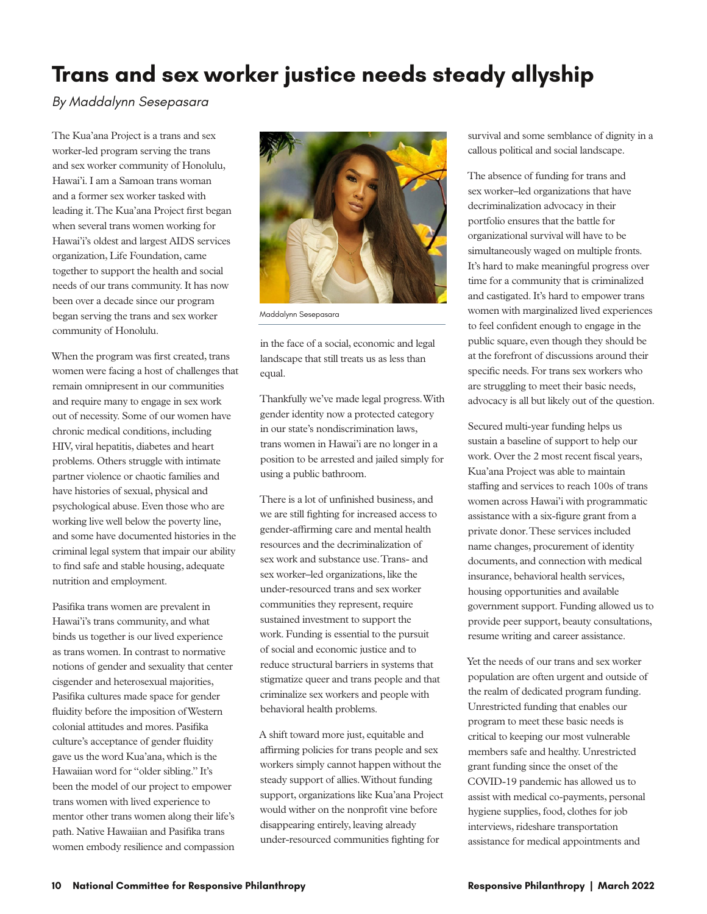## **Trans and sex worker justice needs steady allyship**

## *By Maddalynn Sesepasara*

The Kua'ana Project is a trans and sex worker-led program serving the trans and sex worker community of Honolulu, Hawai'i. I am a Samoan trans woman and a former sex worker tasked with leading it. The Kua'ana Project first began when several trans women working for Hawai'i's oldest and largest AIDS services organization, Life Foundation, came together to support the health and social needs of our trans community. It has now been over a decade since our program began serving the trans and sex worker community of Honolulu.

When the program was first created, trans women were facing a host of challenges that remain omnipresent in our communities and require many to engage in sex work out of necessity. Some of our women have chronic medical conditions, including HIV, viral hepatitis, diabetes and heart problems. Others struggle with intimate partner violence or chaotic families and have histories of sexual, physical and psychological abuse. Even those who are working live well below the poverty line, and some have documented histories in the criminal legal system that impair our ability to find safe and stable housing, adequate nutrition and employment.

Pasifika trans women are prevalent in Hawai'i's trans community, and what binds us together is our lived experience as trans women. In contrast to normative notions of gender and sexuality that center cisgender and heterosexual majorities, Pasifika cultures made space for gender fluidity before the imposition of Western colonial attitudes and mores. Pasifika culture's acceptance of gender fluidity gave us the word Kua'ana, which is the Hawaiian word for "older sibling." It's been the model of our project to empower trans women with lived experience to mentor other trans women along their life's path. Native Hawaiian and Pasifika trans women embody resilience and compassion



Maddalynn Sesepasara

in the face of a social, economic and legal landscape that still treats us as less than equal.

Thankfully we've made legal progress. With gender identity now a protected category in our state's nondiscrimination laws, trans women in Hawai'i are no longer in a position to be arrested and jailed simply for using a public bathroom.

There is a lot of unfinished business, and we are still fighting for increased access to gender-affirming care and mental health resources and the decriminalization of sex work and substance use. Trans- and sex worker–led organizations, like the under-resourced trans and sex worker communities they represent, require sustained investment to support the work. Funding is essential to the pursuit of social and economic justice and to reduce structural barriers in systems that stigmatize queer and trans people and that criminalize sex workers and people with behavioral health problems.

A shift toward more just, equitable and affirming policies for trans people and sex workers simply cannot happen without the steady support of allies. Without funding support, organizations like Kua'ana Project would wither on the nonprofit vine before disappearing entirely, leaving already under-resourced communities fighting for

survival and some semblance of dignity in a callous political and social landscape.

The absence of funding for trans and sex worker–led organizations that have decriminalization advocacy in their portfolio ensures that the battle for organizational survival will have to be simultaneously waged on multiple fronts. It's hard to make meaningful progress over time for a community that is criminalized and castigated. It's hard to empower trans women with marginalized lived experiences to feel confident enough to engage in the public square, even though they should be at the forefront of discussions around their specific needs. For trans sex workers who are struggling to meet their basic needs, advocacy is all but likely out of the question.

Secured multi-year funding helps us sustain a baseline of support to help our work. Over the 2 most recent fiscal years, Kua'ana Project was able to maintain staffing and services to reach 100s of trans women across Hawai'i with programmatic assistance with a six-figure grant from a private donor. These services included name changes, procurement of identity documents, and connection with medical insurance, behavioral health services, housing opportunities and available government support. Funding allowed us to provide peer support, beauty consultations, resume writing and career assistance.

Yet the needs of our trans and sex worker population are often urgent and outside of the realm of dedicated program funding. Unrestricted funding that enables our program to meet these basic needs is critical to keeping our most vulnerable members safe and healthy. Unrestricted grant funding since the onset of the COVID-19 pandemic has allowed us to assist with medical co-payments, personal hygiene supplies, food, clothes for job interviews, rideshare transportation assistance for medical appointments and